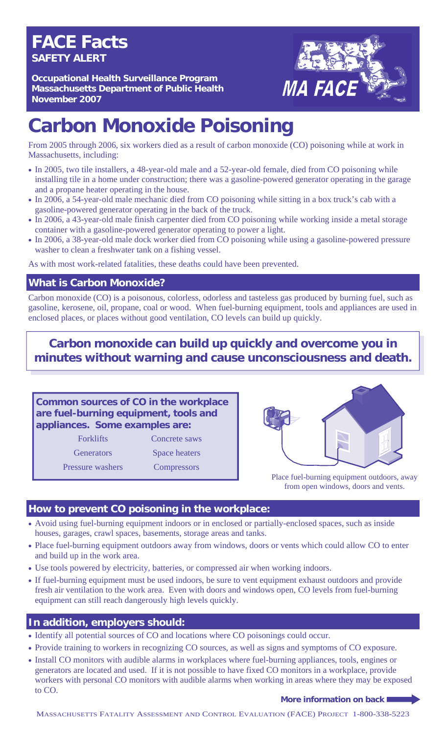# **FACE Facts SAFETY ALERT**

**Occupational Health Surveillance Program Massachusetts Department of Public Health November 2007** 



# **Carbon Monoxide Poisoning**

From 2005 through 2006, six workers died as a result of carbon monoxide (CO) poisoning while at work in Massachusetts, including:

- In 2005, two tile installers, a 48-year-old male and a 52-year-old female, died from CO poisoning while installing tile in a home under construction; there was a gasoline-powered generator operating in the garage and a propane heater operating in the house.
- In 2006, a 54-year-old male mechanic died from CO poisoning while sitting in a box truck's cab with a gasoline-powered generator operating in the back of the truck.
- In 2006, a 43-year-old male finish carpenter died from CO poisoning while working inside a metal storage container with a gasoline-powered generator operating to power a light.
- In 2006, a 38-year-old male dock worker died from CO poisoning while using a gasoline-powered pressure washer to clean a freshwater tank on a fishing vessel.

As with most work-related fatalities, these deaths could have been prevented.

### **What is Carbon Monoxide?**

Carbon monoxide (CO) is a poisonous, colorless, odorless and tasteless gas produced by burning fuel, such as gasoline, kerosene, oil, propane, coal or wood. When fuel-burning equipment, tools and appliances are used in enclosed places, or places without good ventilation, CO levels can build up quickly.

# **Carbon monoxide can build up quickly and overcome you in minutes without warning and cause unconsciousness and death.**

### **Common sources of CO in the workplace are fuel-burning equipment, tools and appliances. Some examples are:**

Forklifts Concrete saws

Generators Space heaters

Pressure washers Compressors



Place fuel-burning equipment outdoors, away from open windows, doors and vents.

### **How to prevent CO poisoning in the workplace:**

- Avoid using fuel-burning equipment indoors or in enclosed or partially-enclosed spaces, such as inside houses, garages, crawl spaces, basements, storage areas and tanks.
- Place fuel-burning equipment outdoors away from windows, doors or vents which could allow CO to enter and build up in the work area.
- Use tools powered by electricity, batteries, or compressed air when working indoors.
- If fuel-burning equipment must be used indoors, be sure to vent equipment exhaust outdoors and provide fresh air ventilation to the work area. Even with doors and windows open, CO levels from fuel-burning equipment can still reach dangerously high levels quickly.

## **In addition, employers should:**

- Identify all potential sources of CO and locations where CO poisonings could occur.
- Provide training to workers in recognizing CO sources, as well as signs and symptoms of CO exposure.
- Install CO monitors with audible alarms in workplaces where fuel-burning appliances, tools, engines or generators are located and used. If it is not possible to have fixed CO monitors in a workplace, provide workers with personal CO monitors with audible alarms when working in areas where they may be exposed to CO.

#### **More information on back**

MASSACHUSETTS FATALITY ASSESSMENT AND CONTROL EVALUATION (FACE) PROJECT 1-800-338-5223